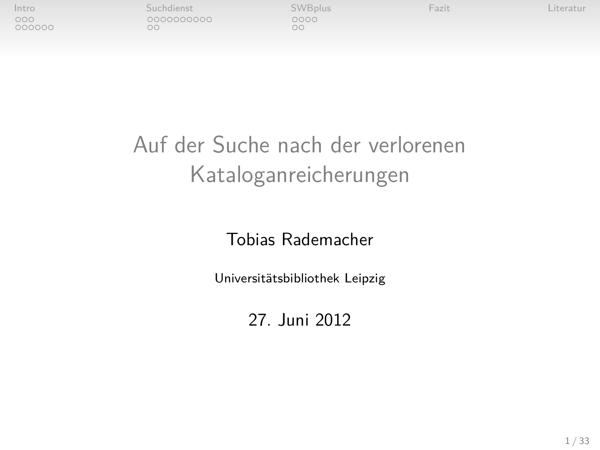| Intro         | Suchdienst | <b>SWBplus</b> | Fazit | Literatur |
|---------------|------------|----------------|-------|-----------|
| 000<br>000000 | 0000000000 | 0000<br>λC     |       |           |

## Auf der Suche nach der verlorenen Kataloganreicherungen

#### Tobias Rademacher

Universitätsbibliothek Leipzig

27. Juni 2012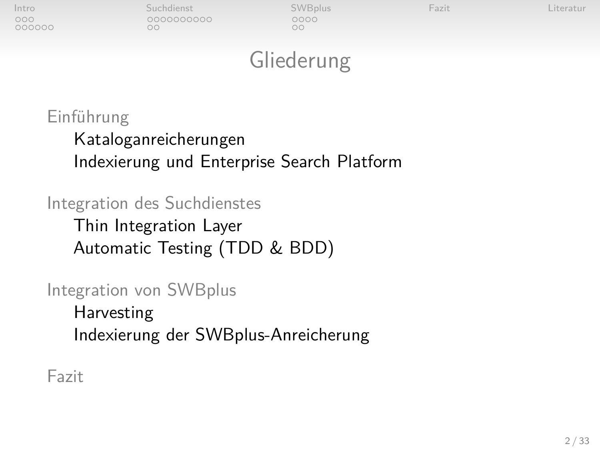| Intro<br>00000000 | Suchdienst<br>0000000000<br>DС | SWBplus<br>0000<br>ЪC | Fazit | Literatur |
|-------------------|--------------------------------|-----------------------|-------|-----------|
|                   |                                |                       |       |           |

## Gliederung

#### [Einführung](#page-2-0)

[Kataloganreicherungen](#page-2-0) [Indexierung und Enterprise Search Platform](#page-5-0)

### [Integration des Suchdienstes](#page-11-0) [Thin Integration Layer](#page-11-0) [Automatic Testing \(TDD & BDD\)](#page-21-0)

[Integration von SWBplus](#page-23-0) [Harvesting](#page-23-0) [Indexierung der SWBplus-Anreicherung](#page-27-0)

[Fazit](#page-29-0)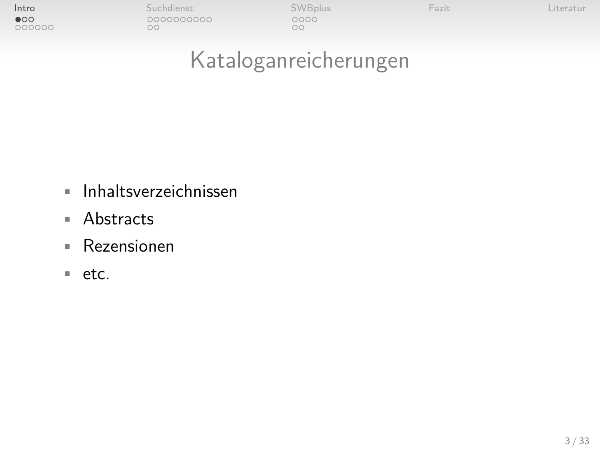| Intro                  | Suchdienst       | <b>SWBplus</b> | Fazit | Literatur |
|------------------------|------------------|----------------|-------|-----------|
| $\bullet$ 00<br>000000 | 0000000000<br>٦C | 0000<br>DС     |       |           |

## Kataloganreicherungen

- Inhaltsverzeichnissen
- Abstracts
- Rezensionen
- <span id="page-2-0"></span>• etc.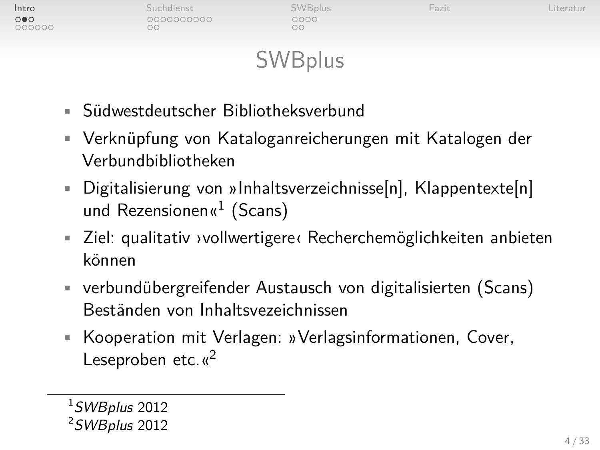| Intro | Suchdienst | SWBplus    | Fazit | iteratur |
|-------|------------|------------|-------|----------|
|       | 0000000000 | 0000<br>oc |       |          |
|       |            |            |       |          |

## **SWBplus**

- Südwestdeutscher Bibliotheksverbund
- Verknüpfung von Kataloganreicherungen mit Katalogen der Verbundbibliotheken
- Digitalisierung von »Inhaltsverzeichnisse[n], Klappentexte[n] und Rezensionen« $1$  (Scans)
- Ziel: qualitativ ›vollwertigere‹ Recherchemöglichkeiten anbieten können
- verbundübergreifender Austausch von digitalisierten (Scans) Beständen von Inhaltsvezeichnissen
- Kooperation mit Verlagen: »Verlagsinformationen, Cover, Leseproben etc. $\kappa^2$

 $1$ [SWBplus](#page-32-0) [2012](#page-32-0)

 $2$ [SWBplus](#page-32-0) [2012](#page-32-0)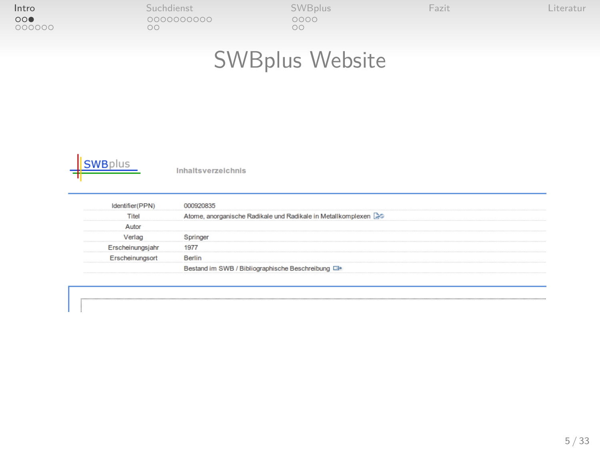| Intro         | Suchdienst | <b>SWBplus</b> | Fazit | Literatur |
|---------------|------------|----------------|-------|-----------|
| 000<br>000000 | 0000000000 | 0000<br>ОC     |       |           |

## SWBplus Website



Inhaltsverzeichnis

| Titel            | Atome, anorganische Radikale und Radikale in Metallkomplexen  |
|------------------|---------------------------------------------------------------|
|                  |                                                               |
|                  |                                                               |
| Erscheinungsjahr | 1977                                                          |
|                  | <b>Red</b>                                                    |
|                  | Bestand im SWB / Bibliographische Beschreibung <sup>(3)</sup> |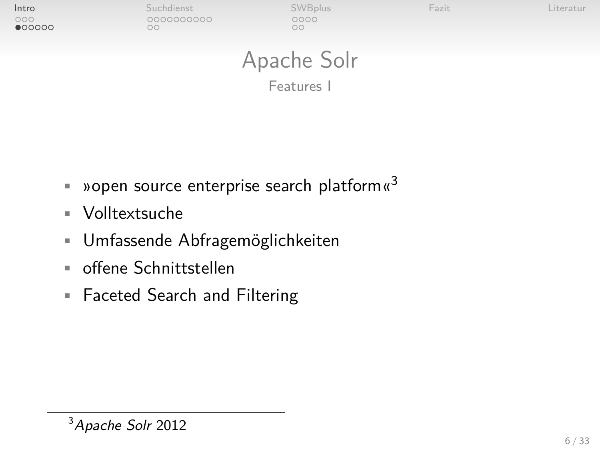| Intro<br>000<br>•000000 | Suchdienst<br>0000000000<br>ОC | SWBplus<br>0000<br>$\circ$ | Fazit | Literatur |
|-------------------------|--------------------------------|----------------------------|-------|-----------|
|                         |                                | Apache Solr                |       |           |

<span id="page-5-0"></span>Features I

- **•** »open source enterprise search platform  $\alpha^3$
- Volltextsuche
- Umfassende Abfragemöglichkeiten
- offene Schnittstellen
- Faceted Search and Filtering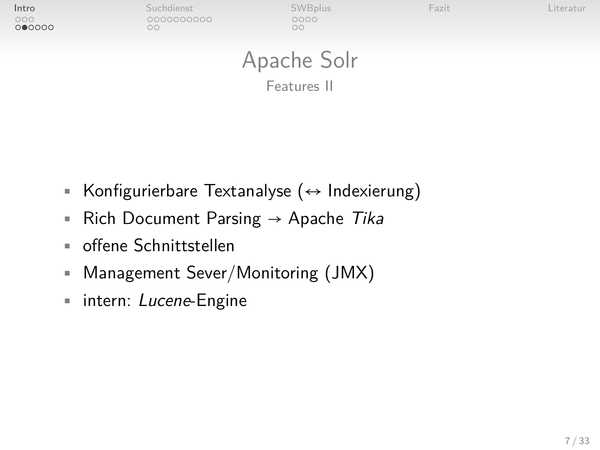| Intro<br>000<br>000000 | Suchdienst<br>0000000000<br>ОC | SWBplus<br>0000<br>$\circ$ | Fazit | Literatur |
|------------------------|--------------------------------|----------------------------|-------|-----------|
|                        |                                | Apache Solr                |       |           |

Features II

- Konfigurierbare Textanalyse (↔ Indexierung)
- Rich Document Parsing  $\rightarrow$  Apache Tika
- offene Schnittstellen
- Management Sever/Monitoring (JMX)
- intern: Lucene-Engine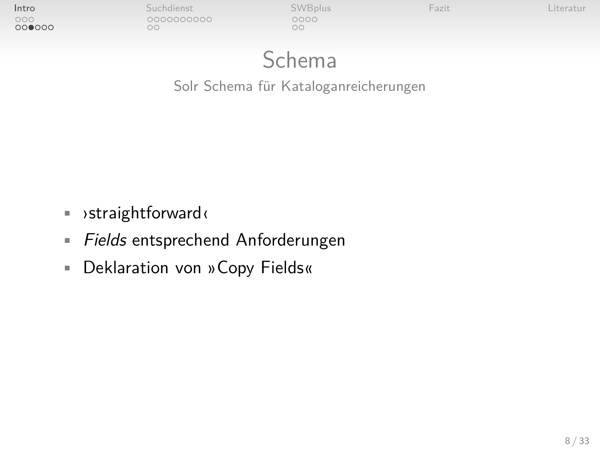| Intro | Suchdienst       | <b>SWBplus</b> | Fazit | iteratu. |
|-------|------------------|----------------|-------|----------|
| 000   | 0000000000<br>DС | 2000<br>oc     |       |          |

## Schema

Solr Schema für Kataloganreicherungen

- ›straightforward‹
- **Fields entsprechend Anforderungen**
- Deklaration von »Copy Fields«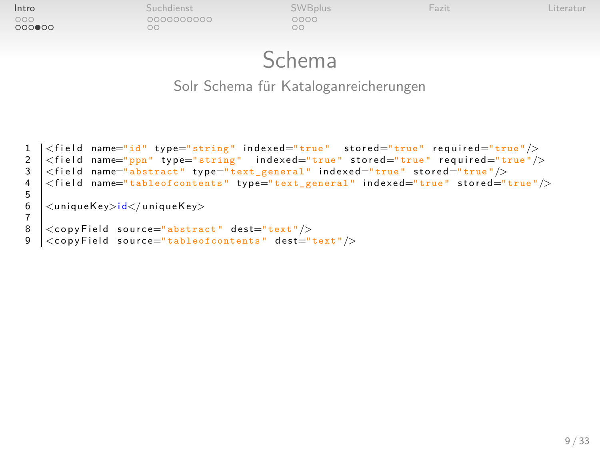| Intro         | Suchdienst       | <b>SWBplus</b> | Fazit | Literatur |
|---------------|------------------|----------------|-------|-----------|
| 000<br>000000 | 0000000000<br>DС | 0000<br>ΩC     |       |           |

### Schema

Solr Schema für Kataloganreicherungen

```
1 | < field name="id" type="string" indexed="true" stored="true" required="true"/><br>2 | < field name="ppn" type="string" indexed="true" stored="true" required="true"/>
2 \vert <field name="ppn" type="string" indexed="true" stored="true" required="true"/><br>3 \vert <field name="abstract" type="text_general" indexed="true" stored="true"/>
     \ltfield name="abstract" type="\bar{t}ext_general" indexed="true" stored="true"/>
      \lefield name="tableofcontents" type="text_general" indexed="true" stored="true"/>
5
      <uniqueKey>id</uniqueKey>
7
\begin{array}{c|c|c|c} 8 & \text{<} \text{copyField} & \text{source="abstract" dest="text */} > \text{cconvField} & \text{source="tableofcontents" dest=" & \text{dest}="end \end{array}\langlecopyField source="tableofcontents" dest="text"/>
```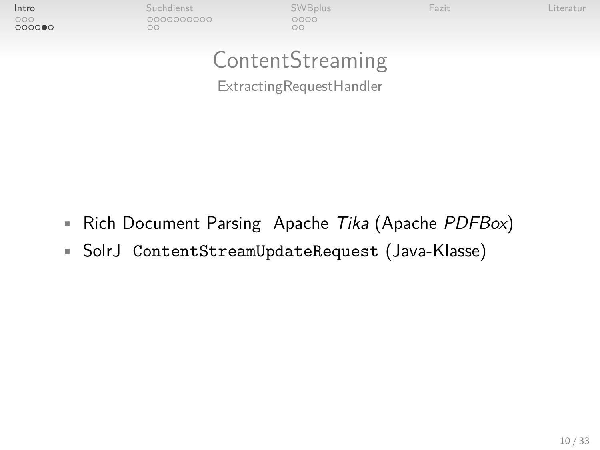| Intro<br>000 | Suchdienst<br>0000000000 | <b>SWBplus</b><br>0000 | Fazit | Literatur |
|--------------|--------------------------|------------------------|-------|-----------|
| 000000       | oo                       | oο                     |       |           |
|              |                          | ContentStreaming       |       |           |

ExtractingRequestHandler

- Rich Document Parsing Apache Tika (Apache PDFBox)
- SolrJ ContentStreamUpdateRequest (Java-Klasse)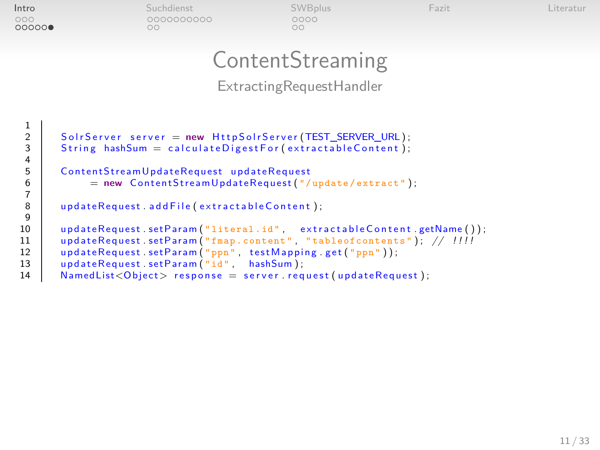| Intro        | Suchdienst       | <b>SWBplus</b> | Fazit | Literatur |
|--------------|------------------|----------------|-------|-----------|
| 000<br>00000 | 0000000000<br>λC | 0000<br>ОC     |       |           |

## **ContentStreaming**

ExtractingRequestHandler

```
2 Solr Server server = new Http Solr Server (TEST SERVER URL) ;
        String hashSum = calculateDigestFor(extractableContent);
        ContentStreamUpdateRequest updateRequest
               = new ContentStreamUpdateRequest (''/update/extract'');
        updateRequest.addFile (extractableContent);
10 updateRequest.setParam("literal.id", extractableContent.getName());<br>11 updateRequest.setParam("fmap.content", "tableofcontents"); // !!!!
11 updateRequest.setParam("fmap.content", "tableofcontents"); // !!!!<br>12 updateRequest.setParam("ppn", testMapping.get("ppn"));
12 updateRequest.setParam("ppn", testMapping.get("ppn"));<br>13 undateRequest.setParam("id", hashSum);
        u p d a t e R e q u e s t . set P a r am (\sqrt[n]{d} , hash Sum ) :
14 NamedList<Object> response = server request (updateRequest);
```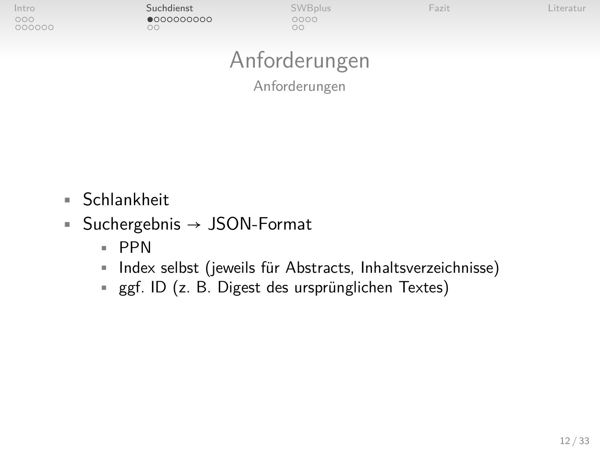[Intro](#page-2-0) [Suchdienst](#page-11-0) [SWBplus](#page-23-0) [Fazit](#page-29-0) [Literatur](#page-31-0)  $\circ$  $^{\circ}$ 

## Anforderungen

<span id="page-11-0"></span>Anforderungen

• Schlankheit

000000

- Suchergebnis  $\rightarrow$  JSON-Format
	- PPN
	- Index selbst (jeweils für Abstracts, Inhaltsverzeichnisse)
	- ggf. ID (z. B. Digest des ursprünglichen Textes)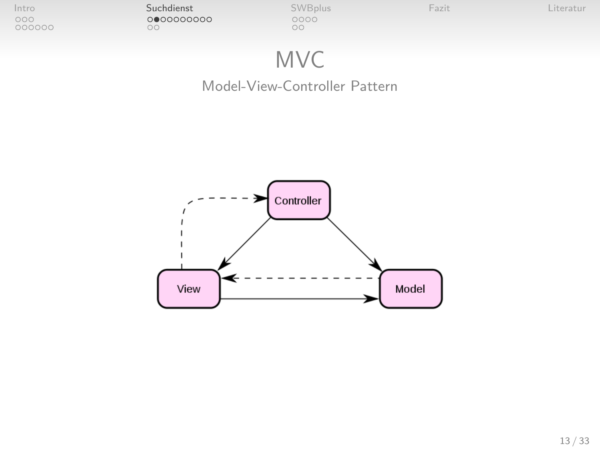| Intro         | Suchdienst       | <b>SWBplus</b> | Fazit | iteratur. |
|---------------|------------------|----------------|-------|-----------|
| 000<br>000000 | 000000000<br>JU. | 0000<br>oc     |       |           |
|               |                  |                |       |           |

## MVC

#### Model-View-Controller Pattern

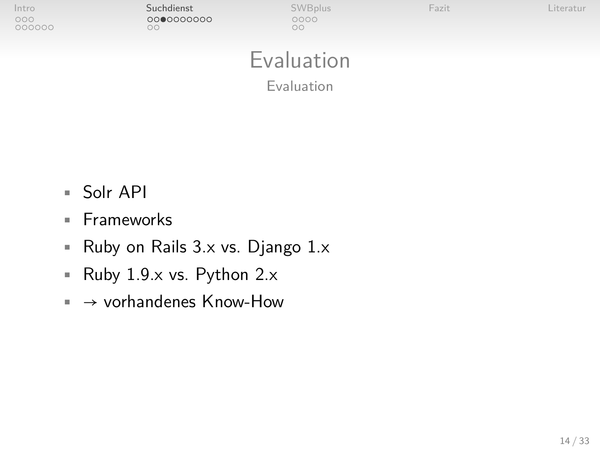| Intro<br>000<br>000000 | Suchdienst<br>0000000000<br>ОC | SWBplus<br>0000<br>$\circ$ | Fazit | Literatur |
|------------------------|--------------------------------|----------------------------|-------|-----------|
|                        |                                | Evaluation                 |       |           |
|                        |                                | Evaluation                 |       |           |

- Solr API
- Frameworks
- Ruby on Rails 3.x vs. Django 1.x
- Ruby 1.9.x vs. Python 2.x
- $\rightarrow$  vorhandenes Know-How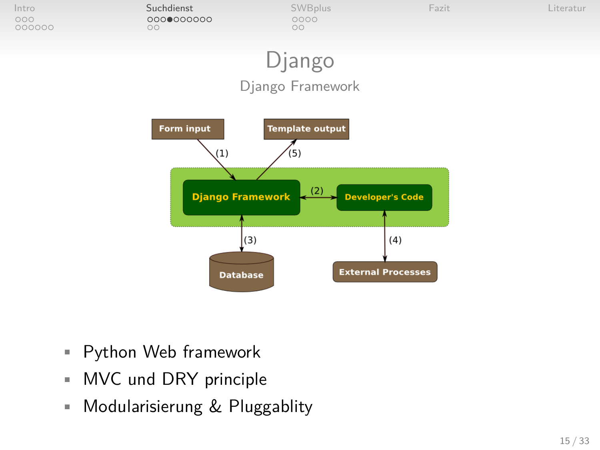

- Python Web framework
- MVC und DRY principle
- Modularisierung & Pluggablity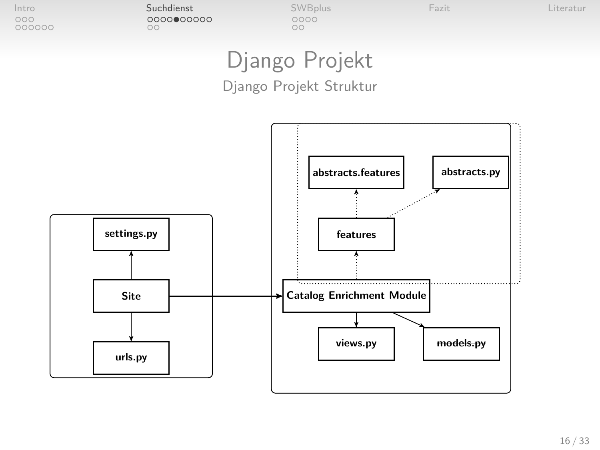[Intro](#page-2-0) [Suchdienst](#page-11-0) [SWBplus](#page-23-0) [Fazit](#page-29-0) [Literatur](#page-31-0) 000000  $\circ\circ$ 

## Django Projekt

#### Django Projekt Struktur

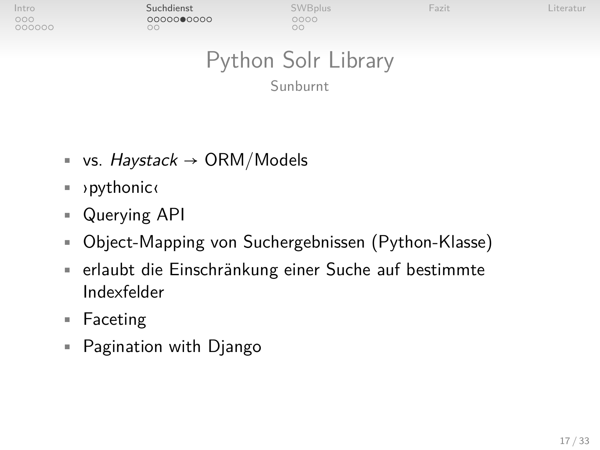000000

[Intro](#page-2-0) [Suchdienst](#page-11-0) [SWBplus](#page-23-0) [Fazit](#page-29-0) [Literatur](#page-31-0)  $\circ$ 

 $\circ$ 

## Python Solr Library

Sunburnt

- vs.  $Haystack \rightarrow ORM/Modes$
- ›pythonic‹
- Querying API
- Object-Mapping von Suchergebnissen (Python-Klasse)
- erlaubt die Einschränkung einer Suche auf bestimmte Indexfelder
- Faceting
- Pagination with Django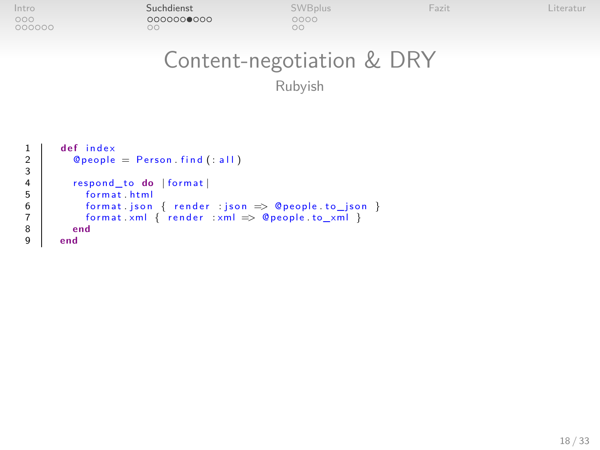| Intro  | Suchdienst | <b>SWBplus</b> | Fazit | Literatur |
|--------|------------|----------------|-------|-----------|
| 000    | 0000000000 | 0000           |       |           |
| 000000 | 16         | YC             |       |           |

2<br>3<br>4<br>5<br>6<br>7<br>8

# Content-negotiation & DRY

Rubyish

```
1 def index
        @people = Person.find(:all)respond_to do | format |
          format, html
          format json { render : json \Rightarrow @ people to _json }
          form at xml { render xml \Rightarrow @ people to_xml }
8 end
      9 end
```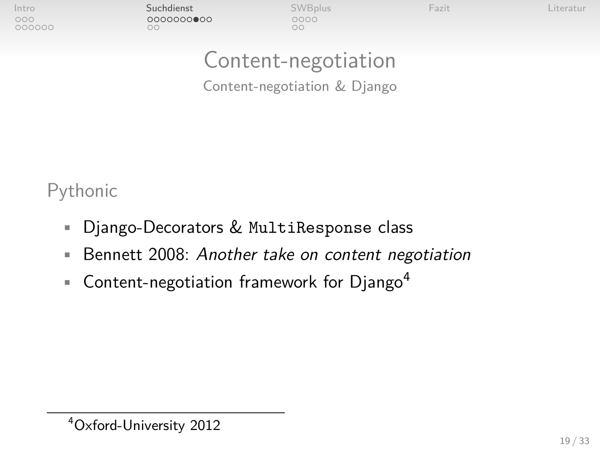| Intro  |  |
|--------|--|
| nnn    |  |
| 000000 |  |

[Intro](#page-2-0) [Suchdienst](#page-11-0) [SWBplus](#page-23-0) [Fazit](#page-29-0) [Literatur](#page-31-0)  $\circ$ 

 $\cap$ 

### Content-negotiation

Content-negotiation & Django

Pythonic

- Django-Decorators & MultiResponse class
- **Bennett [2008:](#page-31-2) Another take on content negotiation**
- **Content-negotiation framework for Django<sup>4</sup>**

<sup>4</sup>Oxford-University [2012](#page-32-1)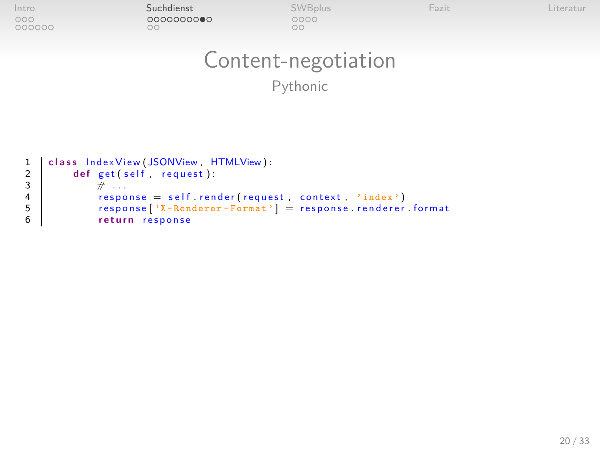| Intro | Suchdienst       | <b>SWBplus</b> | <b>Hazit</b> | iteratur |
|-------|------------------|----------------|--------------|----------|
|       | 0000000000<br>٦C | 0000<br>ЭC     |              |          |
|       |                  |                |              |          |

## Content-negotiation

Pythonic

```
1 class IndexView (JSONView, HTMLView):<br>
3<br>
3<br>
4 cept (self, request):<br>
i esponse = self, render (reque<br>
response i<sup>7</sup> - Renderer - Format)<br>
return response<br>
eturn response
              def get (self, request):
                      \# ...
                      \theta response = self. render (request, context, 'index')
                      response ['X-Renderer-Format'] = response renderer format
                      return response
```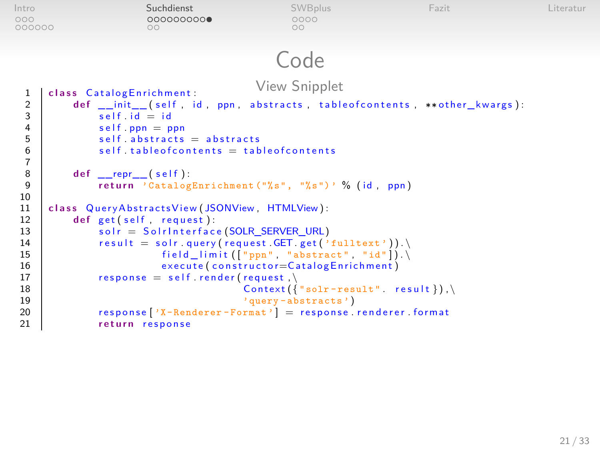```
Intro Suchdienst SWBplus Fazit Literatur
000000
                                  \circ\circCode
  1 class CatalogEnrichment: View Snipplet 1 class CatalogEnrichment: View Snipplet
  2 def __init__( self, id, ppn, abstracts, tableof contents, **other_kwargs):<br>3 self.id = id
  \begin{array}{c|c} 3 & \text{self.} \text{ id} = \text{ id} \\ 4 & \text{self.} \text{ ppn} = \text{p} \end{array}4 self.ppn = ppn<br>5 self.abstracts
  \begin{array}{c|c|c} 5 & \text{self.}\ \text{abstracts = abstracts} & \text{5} \\ \hline 6 & \text{self.}\ \text{tableofcontents = tab} \end{array}self. table of contents = table of contents
 \frac{7}{8}8 def __repr__(self):<br>9 return 'Catalog
                     return 'CatalogEnrichment ("%s", "%s")' % (id, ppn)
10
11 class QueryAbstractsView (JSONView, HTMLView):<br>12 def get(self, request):
12 def get (self, request):<br>13 solr = Solrinterfac
                     solr = SolrInterface (SOLR_SERVER_URL)
14 result = solr.query(request.GET.get('fulltext')).
15 field_limit (["ppn", "abstract", "id"]).<br>16 execute (constructor=CatalogEnrichment)
16 execute (constructor=CatalogEnrichment)<br>17 esponse = self.render(request)
17 response = self.render(request, \text{{1}}}
18 \begin{array}{c} \text{Context}(\{\text{``solar} - \text{result''}.\ \text{result}}\}), \setminus \\ \text{``auerv-abstracts'} \end{array}19 ' query - abstracts')<br>20 ' \frac{1}{2} \frac{1}{2} \frac{1}{2} \frac{1}{2} \frac{1}{2} \frac{1}{2} \frac{1}{2} \frac{1}{2} \frac{1}{2} \frac{1}{2} \frac{1}{2} \frac{1}{2} \frac{1}{2} \frac{1}{2} \frac{1}{2} \frac{1}{2} \frac{1}{2} \frac{1}{2} \frac{1}{220 response ['X-Renderer-Format'] = response renderer . format<br>21 return response
                     return response
```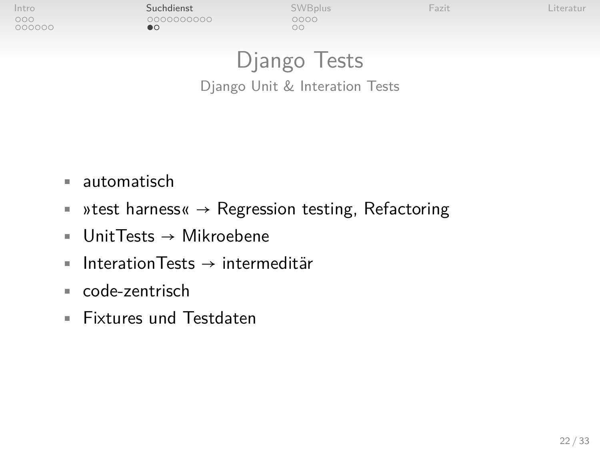000000

[Intro](#page-2-0) [Suchdienst](#page-11-0) [SWBplus](#page-23-0) [Fazit](#page-29-0) [Literatur](#page-31-0)  $\bullet$ 

 $\circ$ 

<span id="page-21-0"></span>

## Django Tests

Django Unit & Interation Tests

- automatisch
- »test harness«  $\rightarrow$  Regression testing, Refactoring
- UnitTests → Mikroebene
- $\blacksquare$  InterationTests  $\rightarrow$  intermeditär
- code-zentrisch
- Fixtures und Testdaten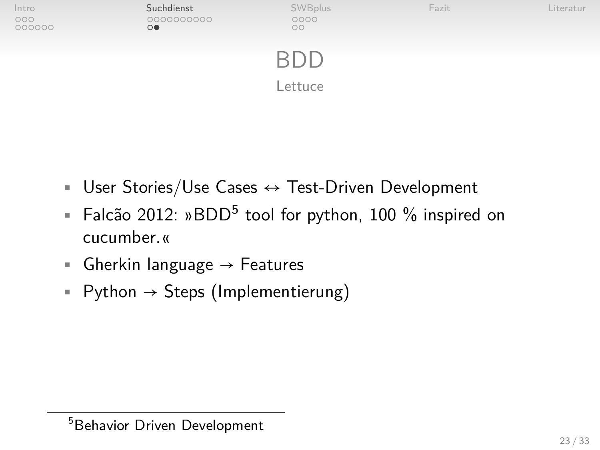

- User Stories/Use Cases  $\leftrightarrow$  Test-Driven Development
- **Falcão [2012:](#page-31-3)** »BDD<sup>5</sup> tool for python, 100 % inspired on cucumber.«
- Gherkin language  $\rightarrow$  Features
- Python  $\rightarrow$  Steps (Implementierung)

<sup>&</sup>lt;sup>5</sup>Behavior Driven Development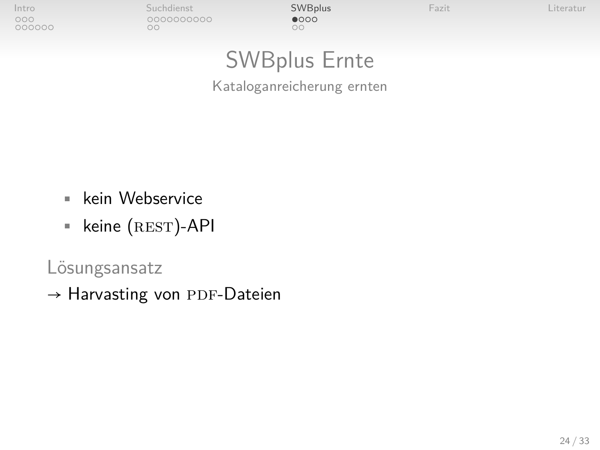000000

[Intro](#page-2-0) [Suchdienst](#page-11-0) [SWBplus](#page-23-0) [Fazit](#page-29-0) [Literatur](#page-31-0)  $\circ$ 

 $\circ$ 

<span id="page-23-0"></span>

## SWBplus Ernte

Kataloganreicherung ernten

- kein Webservice
- $\blacksquare$  keine (REST)-API

Lösungsansatz

 $\rightarrow$  Harvasting von PDF-Dateien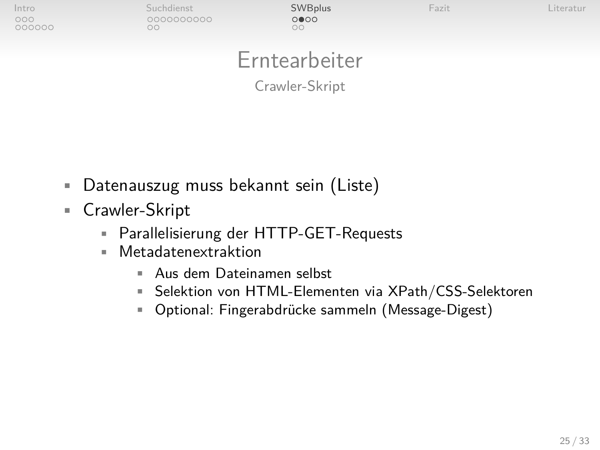| Intro<br>000<br>000000 | Suchdienst<br>0000000000<br>ОC | SWBplus<br>0000<br>$\circ$  | Fazit | Literatur |
|------------------------|--------------------------------|-----------------------------|-------|-----------|
|                        |                                | Erntearbeiter               |       |           |
|                        |                                | $-$<br><b>STATES</b><br>. . |       |           |

Crawler-Skript

- Datenauszug muss bekannt sein (Liste)
- Crawler-Skript

- Parallelisierung der HTTP-GET-Requests
- Metadatenextraktion
	- Aus dem Dateinamen selbst
	- Selektion von HTML-Elementen via XPath/CSS-Selektoren
	- Optional: Fingerabdrücke sammeln (Message-Digest)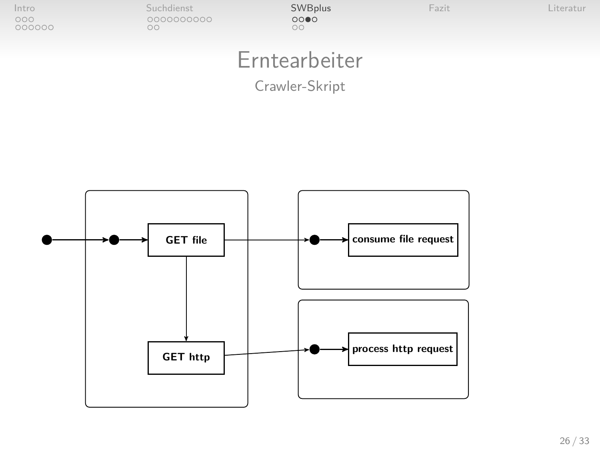| Intro<br>000<br>000000 | Suchdienst<br>0000000000<br>OC | <b>SWBplus</b><br>0000<br>oo | Fazit | Literatur |
|------------------------|--------------------------------|------------------------------|-------|-----------|
|                        |                                | Erntearbeiter                |       |           |

### Crawler-Skript

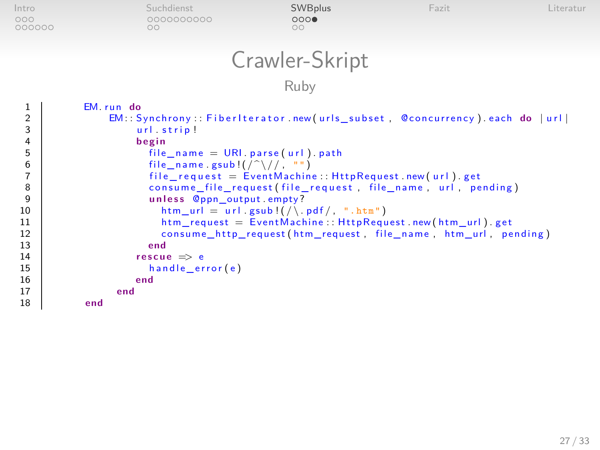| Intro<br>000<br>000000   | Suchdienst<br>0000000000<br>$\circ$ | <b>SWBplus</b><br>000<br>$\circ$ | Fazit                                                                      | Literatur |
|--------------------------|-------------------------------------|----------------------------------|----------------------------------------------------------------------------|-----------|
|                          |                                     | Crawler-Skript                   |                                                                            |           |
|                          |                                     | Ruby                             |                                                                            |           |
| $\overline{2}$<br>$\sim$ | EM.run do                           |                                  | EM:: Synchrony:: FiberIterator.new(urls_subset, @concurrency).each do  url |           |

3 u r l . s t r i p ! 4 **b e gi n**  $file_name = URI.parse(url).path$ file name  $gsub!$   $\left(\frac{?}{?}\right)/\left(\frac{?}{?}\right)$  $file\_request = EventMachine::HttpRequest.new(url).get$ consume\_file\_request(file\_request, file\_name, url, pending) 9 **u n l e s s** @ppn\_output . empty ? 10 htm\_url = url .gsub ! $($   $)$  htm request = EventMachine :: HttpRequest = Free strategy and the metal of the metal of the metal of the metal of the metal of the metal of the metal of the metal of the metal of the metal 11 htm\_request = EventMachine :: HttpRequest . new (htm\_url) . get<br>12 consume http request (htm request . file name . htm url . pe 12 consume\_http\_request(htm\_request, file\_name, htm\_url, pending)<br>13 end 13 **end** 14 **rescue**  $\Rightarrow$  e<br>15 **handle** er 15 h and le\_error (e) 16 **end** 17 **end** 18 **end**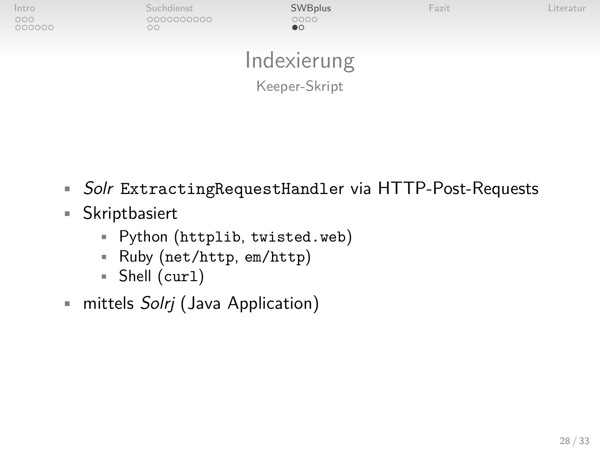| Intro<br>000<br>000000 | Suchdienst<br>0000000000<br>oo | SWBplus<br>0000<br>$\bullet$ | Fazit | Literatur |
|------------------------|--------------------------------|------------------------------|-------|-----------|
|                        |                                | Indexierung                  |       |           |
|                        |                                | Keeper-Skript                |       |           |

- Solr ExtractingRequestHandler via HTTP-Post-Requests
- Skriptbasiert
	- Python (httplib, twisted.web)
	- Ruby (net/http, em/http)
	- Shell (curl)
- <span id="page-27-0"></span>• mittels Solrj (Java Application)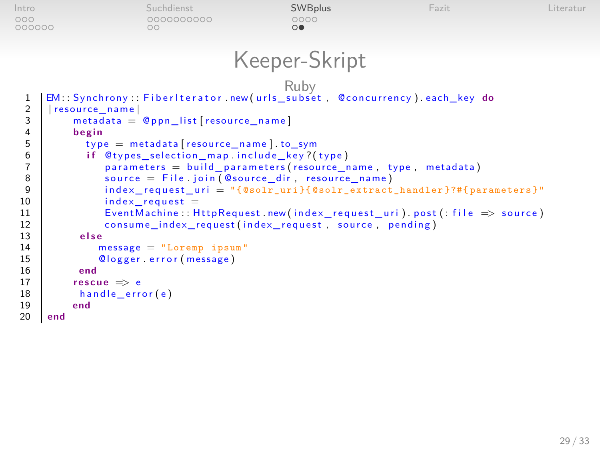```
Intro Suchdienst SWBplus Fazit Literatur
000000
                                    \circ\circKeeper-Skript
   Ruby
1 EM: : Sy nc h r o ny : : F i b e r I t e r a t o r . new ( u r l s _ s u b s e t , @ c o n c u r r e n c y ) . each_key do
  \begin{array}{c|c} 2 & | \text{resource_name} | \\ 3 & \text{metadata} \end{array}\begin{array}{c|c} 3 & \text{metadata} = \text{\&} \text{ppn\_list} \text{[resource\_name]} \\ 4 & \text{begin} \end{array}4 begin<br>5 begin
  5 type = metadata [resource_name]. to_sym<br>6 if @types_selection_map.include_key?(
  6 if @types_selection_map include_key?(type)<br>7 parameters = build_parameters(resource_r
  7 parameters = build parameters (resource name, type, metadata)<br>8 source = File.join (@source dir, resource name)
  8 source = File.join (@source_dir, resource_name)<br>9 9 index request uri = "f@solr uri}f@solr extract
 9 i n d e x _ r e q u e s t _ u r i = "{ @solr_uri }{ @solr_extract_handler }?#{ parameters }"
 \begin{array}{c|c} 10 & \text{index\_request} = \ \hline 11 & \text{EventMachine : H} \end{array}11 EventMachine :: HttpRequest.new (index_request_uri).post (: file \Rightarrow source)<br>12 consume index request (index request, source, pending)
 12 consume_index_request(index_request, source, pending)<br>13 else
 \begin{array}{c|c}\n 13 & \text{else} \\
 14 & \text{if} \\
 \end{array}14 message = "Loremp ipsum"<br>15 0logger.error(message)
 15 © logger error (message)<br>16 end
 16 end
 17 rescue \Rightarrow e<br>18 handle err
 \begin{array}{c|c} 18 & \text{handle\_error(e)} \\ 19 & \text{end} \end{array}\begin{array}{c|c} 19 & \text{end} \\ 20 & \text{end} \end{array}20 end
```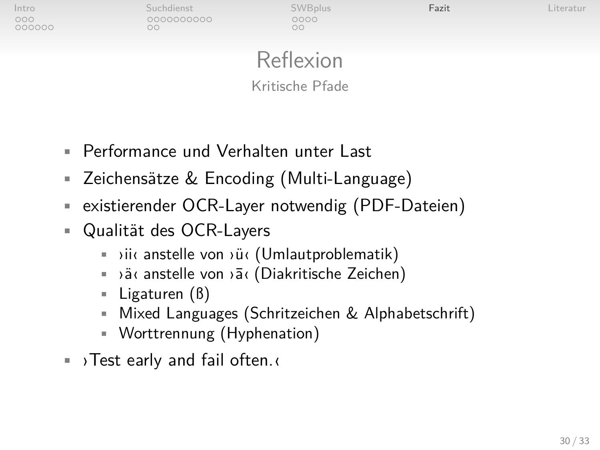| Intro         | Suchdienst | <b>SWBplus</b> | Fazit | Literatur |
|---------------|------------|----------------|-------|-----------|
| 000<br>000000 | 0000000000 | 0000<br>X      |       |           |
|               |            |                |       |           |

### Reflexion Kritische Pfade

- Performance und Verhalten unter Last
- Zeichensätze & Encoding (Multi-Language)
- existierender OCR-Layer notwendig (PDF-Dateien)
- Qualität des OCR-Layers
	- ›ii‹ anstelle von ›ü‹ (Umlautproblematik)
	- ›ä‹ anstelle von ›¯a‹ (Diakritische Zeichen)
	- Ligaturen (ß)
	- Mixed Languages (Schritzeichen & Alphabetschrift)
	- Worttrennung (Hyphenation)
- <span id="page-29-0"></span>• ›Test early and fail often.‹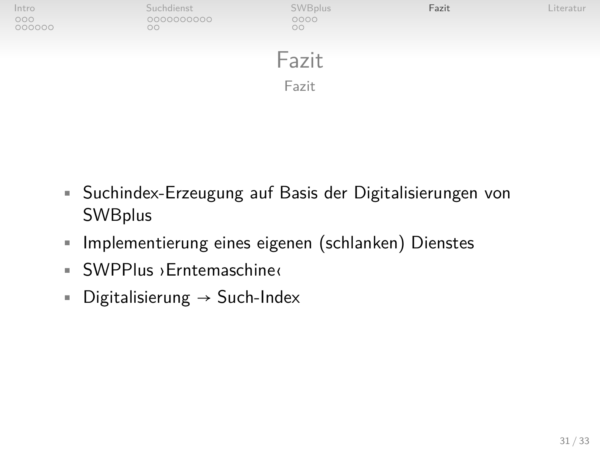

- Suchindex-Erzeugung auf Basis der Digitalisierungen von **SWBplus**
- Implementierung eines eigenen (schlanken) Dienstes
- SWPPlus ›Erntemaschine‹
- Digitalisierung  $\rightarrow$  Such-Index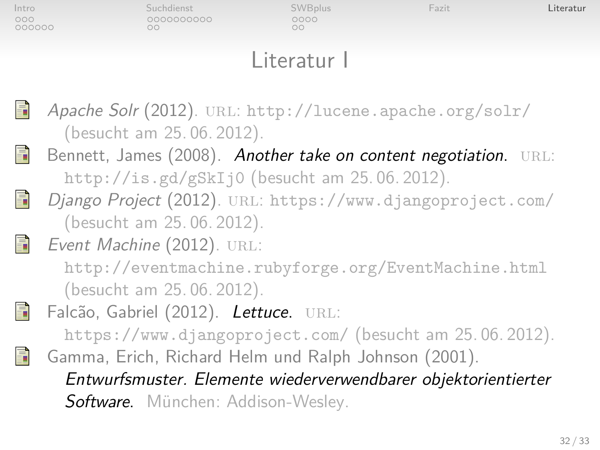| Intro         |    | Suchdienst               | <b>SWBplus</b>                                  | Fazit                                                            | Literatur |
|---------------|----|--------------------------|-------------------------------------------------|------------------------------------------------------------------|-----------|
| 000<br>000000 | 00 | 0000000000               | 0000<br>$\circ$                                 |                                                                  |           |
|               |    |                          |                                                 |                                                                  |           |
|               |    |                          | Literatur I                                     |                                                                  |           |
|               |    |                          |                                                 |                                                                  |           |
|               |    |                          |                                                 |                                                                  |           |
| 靠             |    |                          |                                                 | Apache Solr (2012). URL: http://lucene.apache.org/solr/          |           |
|               |    | (besucht am 25.06.2012). |                                                 |                                                                  |           |
| 昂             |    |                          |                                                 | Bennett, James (2008). Another take on content negotiation. URL: |           |
|               |    |                          | http://is.gd/gSkIj0 (besucht am $25.06.2012$ ). |                                                                  |           |
|               |    |                          |                                                 | Django Project (2012). URL: https://www.djangoproject.com/       |           |

<span id="page-31-2"></span><span id="page-31-1"></span>(besucht am 25. 06. 2012).

Event Machine (2012). URL:

靠

<span id="page-31-0"></span><http://eventmachine.rubyforge.org/EventMachine.html> (besucht am 25. 06. 2012).

暈 Falcão, Gabriel (2012). Lettuce. URL:

<span id="page-31-3"></span><https://www.djangoproject.com/> (besucht am 25. 06. 2012). Gamma, Erich, Richard Helm und Ralph Johnson (2001). Entwurfsmuster. Elemente wiederverwendbarer objektorientierter Software. München: Addison-Wesley.